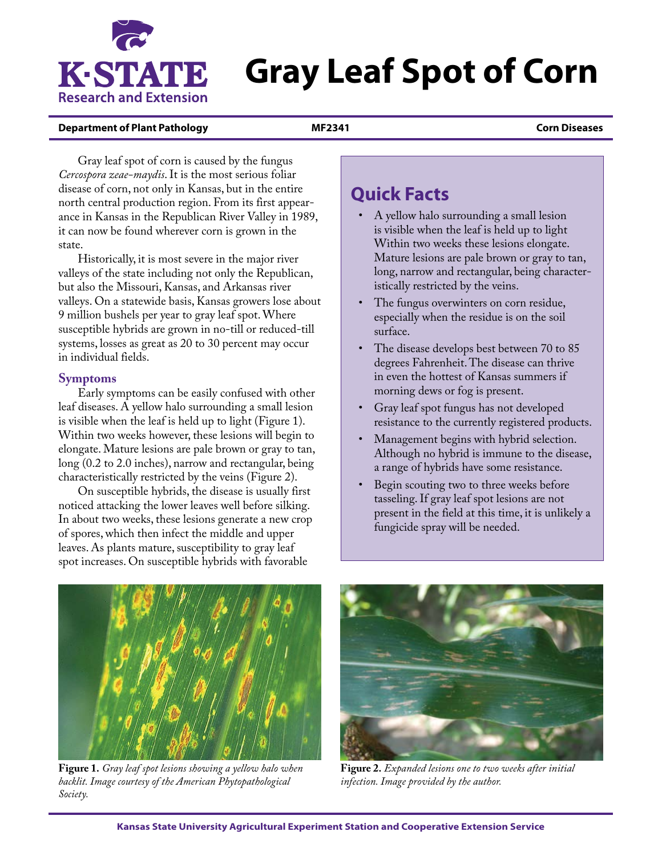

# **Gray Leaf Spot of Corn**

#### **Department of Plant Pathology MF2341 Corn Diseases**

Gray leaf spot of corn is caused by the fungus *Cercospora zeae-maydis*. It is the most serious foliar disease of corn, not only in Kansas, but in the entire north central production region. From its first appearance in Kansas in the Republican River Valley in 1989, it can now be found wherever corn is grown in the state.

Historically, it is most severe in the major river valleys of the state including not only the Republican, but also the Missouri, Kansas, and Arkansas river valleys. On a statewide basis, Kansas growers lose about 9 million bushels per year to gray leaf spot. Where susceptible hybrids are grown in no-till or reduced-till systems, losses as great as 20 to 30 percent may occur in individual fields.

#### **Symptoms**

Early symptoms can be easily confused with other leaf diseases. A yellow halo surrounding a small lesion is visible when the leaf is held up to light (Figure 1). Within two weeks however, these lesions will begin to elongate. Mature lesions are pale brown or gray to tan, long (0.2 to 2.0 inches), narrow and rectangular, being characteristically restricted by the veins (Figure 2).

On susceptible hybrids, the disease is usually first noticed attacking the lower leaves well before silking. In about two weeks, these lesions generate a new crop of spores, which then infect the middle and upper leaves. As plants mature, susceptibility to gray leaf spot increases. On susceptible hybrids with favorable

## **Quick Facts**

- A yellow halo surrounding a small lesion is visible when the leaf is held up to light Within two weeks these lesions elongate. Mature lesions are pale brown or gray to tan, long, narrow and rectangular, being characteristically restricted by the veins.
- The fungus overwinters on corn residue, especially when the residue is on the soil surface.
- The disease develops best between 70 to 85 degrees Fahrenheit. The disease can thrive in even the hottest of Kansas summers if morning dews or fog is present.
- Gray leaf spot fungus has not developed resistance to the currently registered products.
- Management begins with hybrid selection. Although no hybrid is immune to the disease, a range of hybrids have some resistance.
- Begin scouting two to three weeks before tasseling. If gray leaf spot lesions are not present in the field at this time, it is unlikely a fungicide spray will be needed.



**Figure 1.** *Gray leaf spot lesions showing a yellow halo when backlit. Image courtesy of the American Phytopathological Society.*



**Figure 2.** *Expanded lesions one to two weeks after initial infection. Image provided by the author.*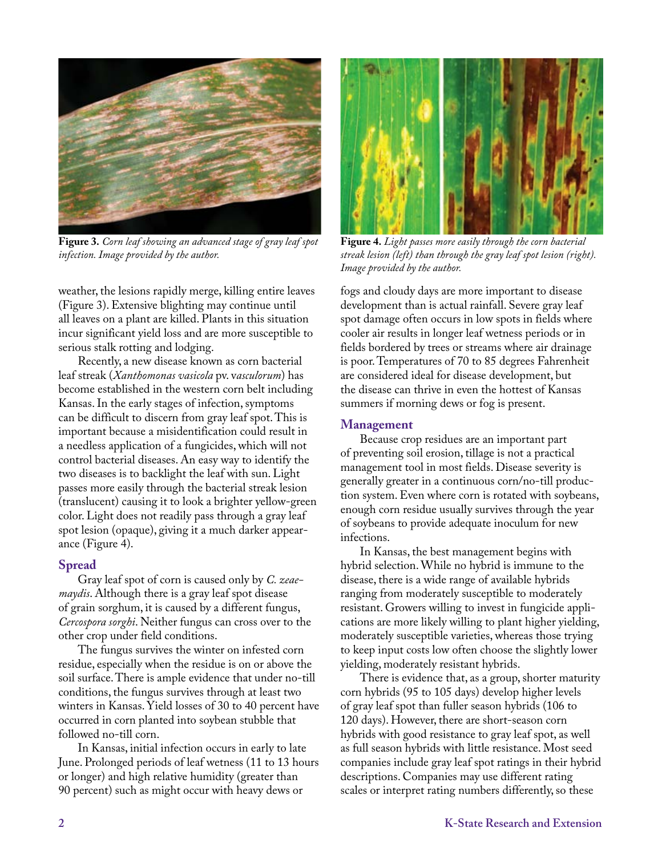

**Figure 3.** *Corn leaf showing an advanced stage of gray leaf spot infection. Image provided by the author.*

weather, the lesions rapidly merge, killing entire leaves (Figure 3). Extensive blighting may continue until all leaves on a plant are killed. Plants in this situation incur significant yield loss and are more susceptible to serious stalk rotting and lodging.

Recently, a new disease known as corn bacterial leaf streak (*Xanthomonas vasicola* pv. v*asculorum*) has become established in the western corn belt including Kansas. In the early stages of infection, symptoms can be difficult to discern from gray leaf spot. This is important because a misidentification could result in a needless application of a fungicides, which will not control bacterial diseases. An easy way to identify the two diseases is to backlight the leaf with sun. Light passes more easily through the bacterial streak lesion (translucent) causing it to look a brighter yellow-green color. Light does not readily pass through a gray leaf spot lesion (opaque), giving it a much darker appearance (Figure 4).

#### **Spread**

Gray leaf spot of corn is caused only by *C. zeaemaydis*. Although there is a gray leaf spot disease of grain sorghum, it is caused by a different fungus, *Cercospora sorghi*. Neither fungus can cross over to the other crop under field conditions.

The fungus survives the winter on infested corn residue, especially when the residue is on or above the soil surface. There is ample evidence that under no-till conditions, the fungus survives through at least two winters in Kansas. Yield losses of 30 to 40 percent have occurred in corn planted into soybean stubble that followed no-till corn.

In Kansas, initial infection occurs in early to late June. Prolonged periods of leaf wetness (11 to 13 hours or longer) and high relative humidity (greater than 90 percent) such as might occur with heavy dews or



**Figure 4.** *Light passes more easily through the corn bacterial streak lesion (left) than through the gray leaf spot lesion (right). Image provided by the author.*

fogs and cloudy days are more important to disease development than is actual rainfall. Severe gray leaf spot damage often occurs in low spots in fields where cooler air results in longer leaf wetness periods or in fields bordered by trees or streams where air drainage is poor. Temperatures of 70 to 85 degrees Fahrenheit are considered ideal for disease development, but the disease can thrive in even the hottest of Kansas summers if morning dews or fog is present.

### **Management**

Because crop residues are an important part of preventing soil erosion, tillage is not a practical management tool in most fields. Disease severity is generally greater in a continuous corn/no-till production system. Even where corn is rotated with soybeans, enough corn residue usually survives through the year of soybeans to provide adequate inoculum for new infections.

In Kansas, the best management begins with hybrid selection. While no hybrid is immune to the disease, there is a wide range of available hybrids ranging from moderately susceptible to moderately resistant. Growers willing to invest in fungicide applications are more likely willing to plant higher yielding, moderately susceptible varieties, whereas those trying to keep input costs low often choose the slightly lower yielding, moderately resistant hybrids.

There is evidence that, as a group, shorter maturity corn hybrids (95 to 105 days) develop higher levels of gray leaf spot than fuller season hybrids (106 to 120 days). However, there are short-season corn hybrids with good resistance to gray leaf spot, as well as full season hybrids with little resistance. Most seed companies include gray leaf spot ratings in their hybrid descriptions. Companies may use different rating scales or interpret rating numbers differently, so these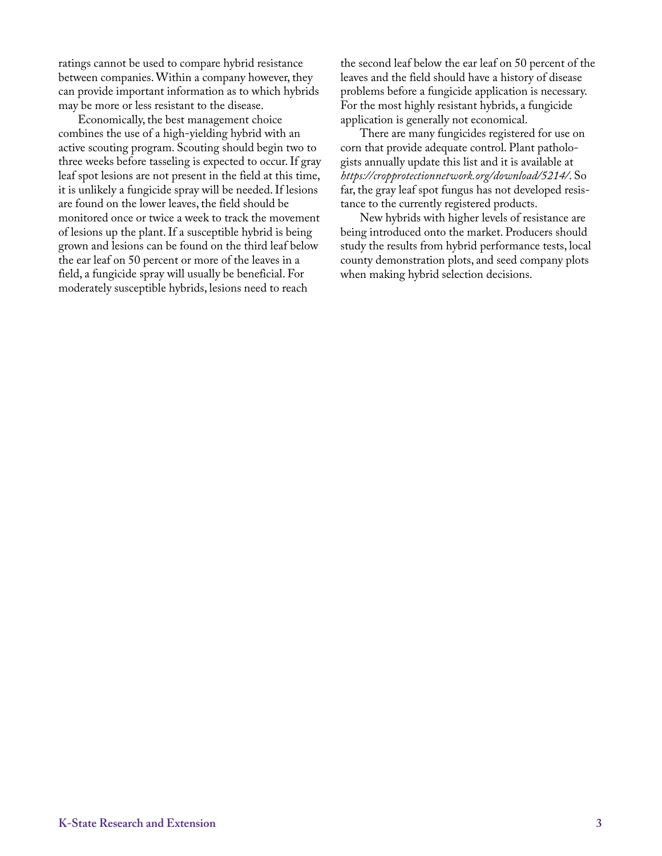ratings cannot be used to compare hybrid resistance between companies. Within a company however, they can provide important information as to which hybrids may be more or less resistant to the disease.

Economically, the best management choice combines the use of a high-yielding hybrid with an active scouting program. Scouting should begin two to three weeks before tasseling is expected to occur. If gray leaf spot lesions are not present in the field at this time, it is unlikely a fungicide spray will be needed. If lesions are found on the lower leaves, the field should be monitored once or twice a week to track the movement of lesions up the plant. If a susceptible hybrid is being grown and lesions can be found on the third leaf below the ear leaf on 50 percent or more of the leaves in a field, a fungicide spray will usually be beneficial. For moderately susceptible hybrids, lesions need to reach

the second leaf below the ear leaf on 50 percent of the leaves and the field should have a history of disease problems before a fungicide application is necessary. For the most highly resistant hybrids, a fungicide application is generally not economical.

There are many fungicides registered for use on corn that provide adequate control. Plant pathologists annually update this list and it is available at *<https://cropprotectionnetwork.org/download/5214/>*. So far, the gray leaf spot fungus has not developed resistance to the currently registered products.

New hybrids with higher levels of resistance are being introduced onto the market. Producers should study the results from hybrid performance tests, local county demonstration plots, and seed company plots when making hybrid selection decisions.